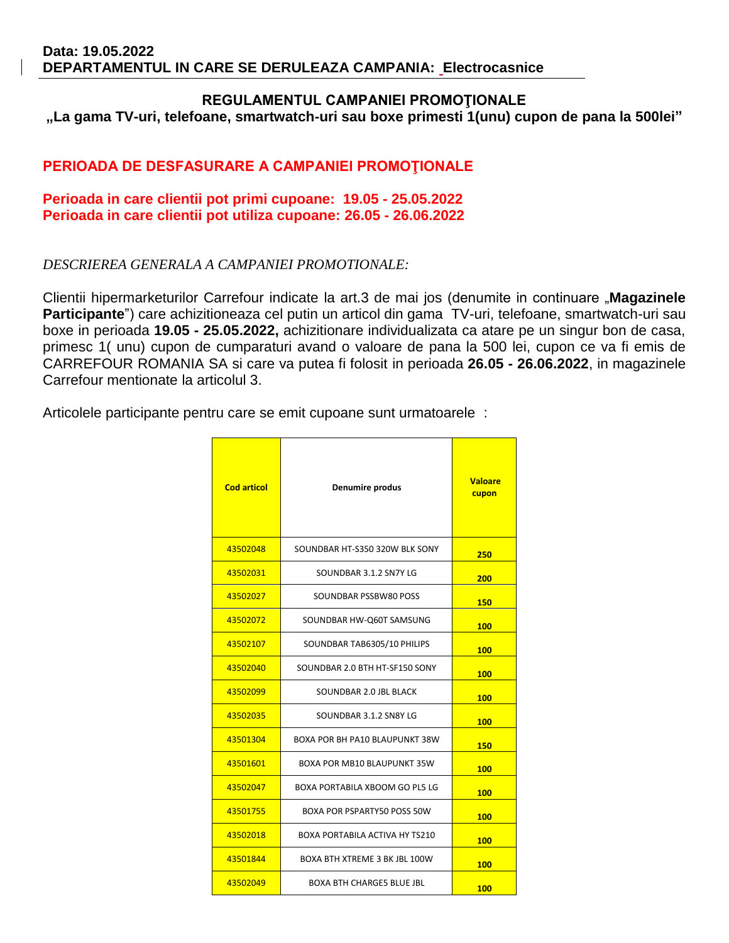#### **REGULAMENTUL CAMPANIEI PROMOŢIONALE**

**"La gama TV-uri, telefoane, smartwatch-uri sau boxe primesti 1(unu) cupon de pana la 500lei"**

### **PERIOADA DE DESFASURARE A CAMPANIEI PROMOŢIONALE**

#### **Perioada in care clientii pot primi cupoane: 19.05 - 25.05.2022 Perioada in care clientii pot utiliza cupoane: 26.05 - 26.06.2022**

#### *DESCRIEREA GENERALA A CAMPANIEI PROMOTIONALE:*

Clientii hipermarketurilor Carrefour indicate la art.3 de mai jos (denumite in continuare "**Magazinele Participante**") care achizitioneaza cel putin un articol din gama TV-uri, telefoane, smartwatch-uri sau boxe in perioada **19.05 - 25.05.2022,** achizitionare individualizata ca atare pe un singur bon de casa, primesc 1( unu) cupon de cumparaturi avand o valoare de pana la 500 lei, cupon ce va fi emis de CARREFOUR ROMANIA SA si care va putea fi folosit in perioada **26.05 - 26.06.2022**, in magazinele Carrefour mentionate la articolul 3.

Articolele participante pentru care se emit cupoane sunt urmatoarele :

| <b>Cod articol</b> | Denumire produs                       | <b>Valoare</b><br>cupon |
|--------------------|---------------------------------------|-------------------------|
| 43502048           | SOUNDBAR HT-S350 320W BLK SONY        | 250                     |
| 43502031           | SOUNDBAR 3.1.2 SN7Y LG                | 200                     |
| 43502027           | SOUNDBAR PSSBW80 POSS                 | 150                     |
| 43502072           | SOUNDBAR HW-Q60T SAMSUNG              | 100                     |
| 43502107           | SOUNDBAR TAB6305/10 PHILIPS           | 100                     |
| 43502040           | SOUNDBAR 2.0 BTH HT-SF150 SONY        | 100                     |
| 43502099           | SOUNDBAR 2.0 JBL BLACK                | 100                     |
| 43502035           | SOUNDBAR 3.1.2 SN8Y LG                | 100                     |
| 43501304           | BOXA POR BH PA10 BLAUPUNKT 38W        | 150                     |
| 43501601           | BOXA POR MB10 BLAUPUNKT 35W           | 100                     |
| 43502047           | BOXA PORTABILA XBOOM GO PL5 LG        | 100                     |
| 43501755           | BOXA POR PSPARTY50 POSS 50W           | 100                     |
| 43502018           | <b>BOXA PORTABILA ACTIVA HY TS210</b> | 100                     |
| 43501844           | BOXA BTH XTREME 3 BK JBL 100W         | 100                     |
| 43502049           | <b>BOXA BTH CHARGES BLUE JBL</b>      | 100                     |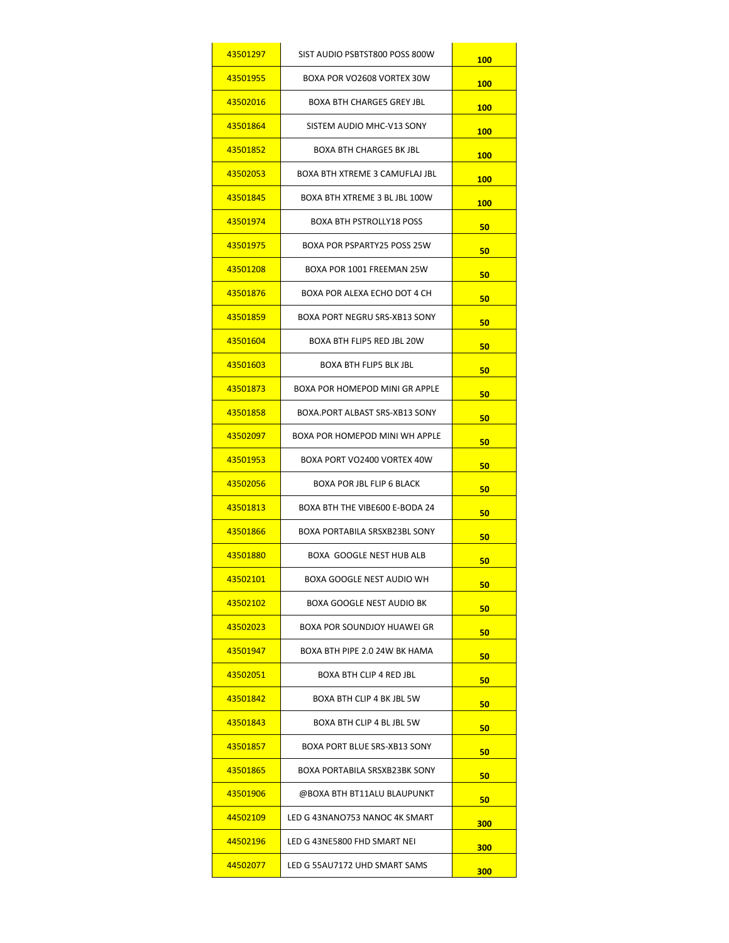| 43501297 | SIST AUDIO PSBTST800 POSS 800W       | <b>100</b> |
|----------|--------------------------------------|------------|
| 43501955 | BOXA POR VO2608 VORTEX 30W           | 100        |
| 43502016 | BOXA BTH CHARGE5 GREY JBL            | 100        |
| 43501864 | SISTEM AUDIO MHC-V13 SONY            | 100        |
| 43501852 | BOXA BTH CHARGE5 BK JBL              | 100        |
| 43502053 | BOXA BTH XTREME 3 CAMUFLAJ JBL       | 100        |
| 43501845 | BOXA BTH XTREME 3 BL JBL 100W        | <b>100</b> |
| 43501974 | <b>BOXA BTH PSTROLLY18 POSS</b>      | 50         |
| 43501975 | BOXA POR PSPARTY25 POSS 25W          | 50         |
| 43501208 | BOXA POR 1001 FREEMAN 25W            | 50         |
| 43501876 | BOXA POR ALEXA ECHO DOT 4 CH         | 50         |
| 43501859 | BOXA PORT NEGRU SRS-XB13 SONY        | 50         |
| 43501604 | BOXA BTH FLIP5 RED JBL 20W           | 50         |
| 43501603 | BOXA BTH FLIP5 BLK JBL               | 50         |
| 43501873 | BOXA POR HOMEPOD MINI GR APPLE       | 50         |
| 43501858 | BOXA.PORT ALBAST SRS-XB13 SONY       | 50         |
| 43502097 | BOXA POR HOMEPOD MINI WH APPLE       | 50         |
| 43501953 | BOXA PORT VO2400 VORTEX 40W          | 50         |
| 43502056 | <b>BOXA POR JBL FLIP 6 BLACK</b>     | 50         |
| 43501813 | BOXA BTH THE VIBE600 E-BODA 24       | 50         |
| 43501866 | <b>BOXA PORTABILA SRSXB23BL SONY</b> | 50         |
| 43501880 | BOXA GOOGLE NEST HUB ALB             | 50         |
| 43502101 | BOXA GOOGLE NEST AUDIO WH            | 50         |
| 43502102 | BOXA GOOGLE NEST AUDIO BK            | 50         |
| 43502023 | <b>BOXA POR SOUNDJOY HUAWEI GR</b>   | 50         |
| 43501947 | BOXA BTH PIPE 2.0 24W BK HAMA        | 50         |
| 43502051 | BOXA BTH CLIP 4 RED JBL              | 50         |
| 43501842 | BOXA BTH CLIP 4 BK JBL 5W            | 50         |
| 43501843 | BOXA BTH CLIP 4 BL JBL 5W            | 50         |
| 43501857 | BOXA PORT BLUE SRS-XB13 SONY         | 50         |
| 43501865 | BOXA PORTABILA SRSXB23BK SONY        | 50         |
| 43501906 | @BOXA BTH BT11ALU BLAUPUNKT          | 50         |
| 44502109 | LED G 43NANO753 NANOC 4K SMART       | 300        |
| 44502196 | LED G 43NE5800 FHD SMART NEI         | 300        |
| 44502077 | LED G 55AU7172 UHD SMART SAMS        | 300        |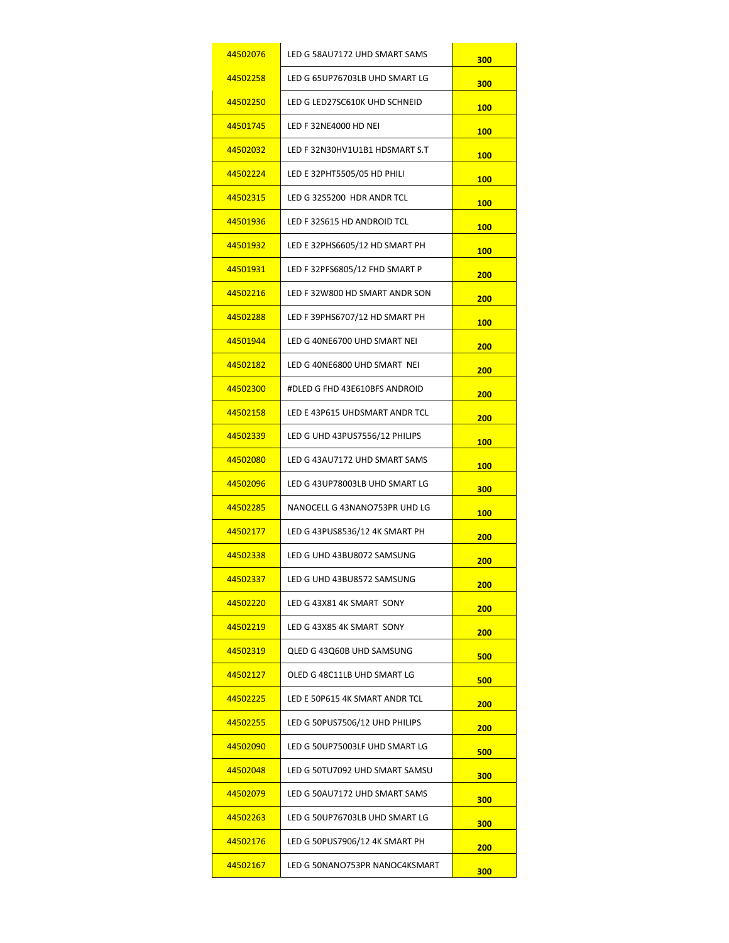| 44502076 | LED G 58AU7172 UHD SMART SAMS  | 300        |
|----------|--------------------------------|------------|
| 44502258 | LED G 65UP76703LB UHD SMART LG | 300        |
| 44502250 | LED G LED27SC610K UHD SCHNEID  | 100        |
| 44501745 | LED F 32NE4000 HD NEI          | <b>100</b> |
| 44502032 | LED F 32N30HV1U1B1 HDSMART S.T | <b>100</b> |
| 44502224 | LED E 32PHT5505/05 HD PHILI    | <b>100</b> |
| 44502315 | LED G 32S5200 HDR ANDR TCL     | <b>100</b> |
| 44501936 | LED F 32S615 HD ANDROID TCL    | <b>100</b> |
| 44501932 | LED E 32PHS6605/12 HD SMART PH | <b>100</b> |
| 44501931 | LED F 32PFS6805/12 FHD SMART P | 200        |
| 44502216 | LED F 32W800 HD SMART ANDR SON | 200        |
| 44502288 | LED F 39PHS6707/12 HD SMART PH | <b>100</b> |
| 44501944 | LED G 40NE6700 UHD SMART NEI   | 200        |
| 44502182 | LED G 40NE6800 UHD SMART NEI   | 200        |
| 44502300 | #DLED G FHD 43E610BFS ANDROID  | 200        |
| 44502158 | LED E 43P615 UHDSMART ANDR TCL | 200        |
| 44502339 | LED G UHD 43PUS7556/12 PHILIPS | <b>100</b> |
| 44502080 | LED G 43AU7172 UHD SMART SAMS  | <b>100</b> |
| 44502096 | LED G 43UP78003LB UHD SMART LG | 300        |
| 44502285 | NANOCELL G 43NANO753PR UHD LG  | <b>100</b> |
| 44502177 | LED G 43PUS8536/12 4K SMART PH | 200        |
| 44502338 | LED G UHD 43BU8072 SAMSUNG     | 200        |
| 44502337 | LED G UHD 43BU8572 SAMSUNG     | <b>200</b> |
| 44502220 | LED G 43X81 4K SMART SONY      | 200        |
| 44502219 | LED G 43X85 4K SMART SONY      | 200        |
| 44502319 | QLED G 43Q60B UHD SAMSUNG      | 500        |
| 44502127 | OLED G 48C11LB UHD SMART LG    | 500        |
| 44502225 | LED E 50P615 4K SMART ANDR TCL | 200        |
| 44502255 | LED G 50PUS7506/12 UHD PHILIPS | 200        |
| 44502090 | LED G 50UP75003LF UHD SMART LG | 500        |
| 44502048 | LED G 50TU7092 UHD SMART SAMSU | 300        |
| 44502079 | LED G 50AU7172 UHD SMART SAMS  | 300        |
| 44502263 | LED G 50UP76703LB UHD SMART LG | 300        |
| 44502176 | LED G 50PUS7906/12 4K SMART PH | 200        |
| 44502167 | LED G 50NANO753PR NANOC4KSMART | 300        |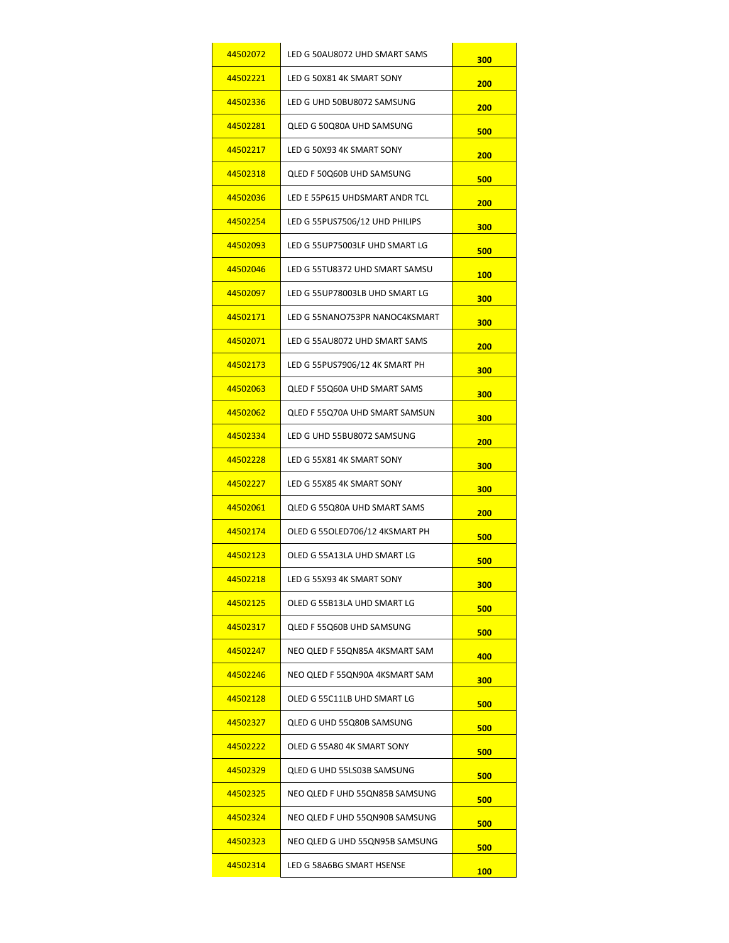| 44502072 | LED G 50AU8072 UHD SMART SAMS  | 300        |
|----------|--------------------------------|------------|
| 44502221 | LED G 50X81 4K SMART SONY      | 200        |
| 44502336 | LED G UHD 50BU8072 SAMSUNG     | 200        |
| 44502281 | QLED G 50Q80A UHD SAMSUNG      | 500        |
| 44502217 | LED G 50X93 4K SMART SONY      | 200        |
| 44502318 | QLED F 50Q60B UHD SAMSUNG      | 500        |
| 44502036 | LED E 55P615 UHDSMART ANDR TCL | 200        |
| 44502254 | LED G 55PUS7506/12 UHD PHILIPS | 300        |
| 44502093 | LED G 55UP75003LF UHD SMART LG | 500        |
| 44502046 | LED G 55TU8372 UHD SMART SAMSU | <b>100</b> |
| 44502097 | LED G 55UP78003LB UHD SMART LG | 300        |
| 44502171 | LED G 55NANO753PR NANOC4KSMART | 300        |
| 44502071 | LED G 55AU8072 UHD SMART SAMS  | 200        |
| 44502173 | LED G 55PUS7906/12 4K SMART PH | 300        |
| 44502063 | QLED F 55Q60A UHD SMART SAMS   | 300        |
| 44502062 | QLED F 55Q70A UHD SMART SAMSUN | 300        |
| 44502334 | LED G UHD 55BU8072 SAMSUNG     | 200        |
| 44502228 | LED G 55X81 4K SMART SONY      | 300        |
| 44502227 | LED G 55X85 4K SMART SONY      | 300        |
| 44502061 | QLED G 55Q80A UHD SMART SAMS   | 200        |
| 44502174 | OLED G 55OLED706/12 4KSMART PH | 500        |
| 44502123 | OLED G 55A13LA UHD SMART LG    | 500        |
| 44502218 | LED G 55X93 4K SMART SONY      | 300        |
| 44502125 | OLED G 55B13LA UHD SMART LG    | 500        |
| 44502317 | QLED F 55Q60B UHD SAMSUNG      | 500        |
| 44502247 | NEO QLED F 55QN85A 4KSMART SAM | 400        |
| 44502246 | NEO QLED F 55QN90A 4KSMART SAM | 300        |
| 44502128 | OLED G 55C11LB UHD SMART LG    | 500        |
| 44502327 | QLED G UHD 55Q80B SAMSUNG      | 500        |
| 44502222 | OLED G 55A80 4K SMART SONY     | 500        |
| 44502329 | QLED G UHD 55LS03B SAMSUNG     | 500        |
| 44502325 | NEO QLED F UHD 55QN85B SAMSUNG | 500        |
| 44502324 | NEO QLED F UHD 55QN90B SAMSUNG | 500        |
| 44502323 | NEO QLED G UHD 55QN95B SAMSUNG | 500        |
| 44502314 | LED G 58A6BG SMART HSENSE      | <b>100</b> |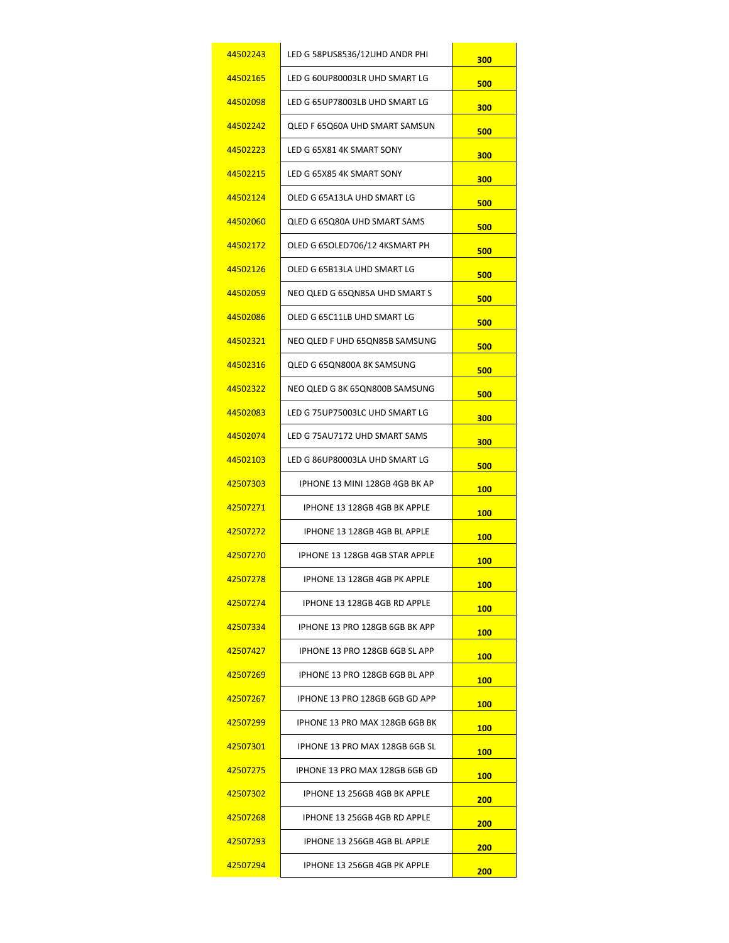| 44502243              | LED G 58PUS8536/12UHD ANDR PHI        | 300        |
|-----------------------|---------------------------------------|------------|
| 44502165              | LED G 60UP80003LR UHD SMART LG        | 500        |
| 44502098              | LED G 65UP78003LB UHD SMART LG        | 300        |
| 44502242              | <b>QLED F 65Q60A UHD SMART SAMSUN</b> | 500        |
| 44502223              | LED G 65X81 4K SMART SONY             | 300        |
| 44502215              | LED G 65X85 4K SMART SONY             | 300        |
| 44502124              | OLED G 65A13LA UHD SMART LG           | 500        |
| 44502060              | QLED G 65Q80A UHD SMART SAMS          | 500        |
| 44502172              | OLED G 65OLED706/12 4KSMART PH        | 500        |
| 44502126              | OLED G 65B13LA UHD SMART LG           | 500        |
| 44502059              | NEO QLED G 65QN85A UHD SMART S        | 500        |
| 44502086              | OLED G 65C11LB UHD SMART LG           | 500        |
| 44502321              | NEO QLED F UHD 65QN85B SAMSUNG        | 500        |
| 44502316              | QLED G 65QN800A 8K SAMSUNG            | 500        |
| 44502322              | NEO QLED G 8K 65QN800B SAMSUNG        | 500        |
| <u>44502083</u>       | LED G 75UP75003LC UHD SMART LG        | 300        |
| 44502074              | LED G 75AU7172 UHD SMART SAMS         | 300        |
| 44502103              | LED G 86UP80003LA UHD SMART LG        | 500        |
| 42507303              | IPHONE 13 MINI 128GB 4GB BK AP        | <b>100</b> |
| 42507271              | IPHONE 13 128GB 4GB BK APPLE          | <b>100</b> |
| 42507272              | IPHONE 13 128GB 4GB BL APPLE          | 100        |
| 42507270              | IPHONE 13 128GB 4GB STAR APPLE        | <b>100</b> |
| 42507278              | IPHONE 13 128GB 4GB PK APPLE          | <b>100</b> |
| 42507274              | IPHONE 13 128GB 4GB RD APPLE          | 100        |
| 42507334              | IPHONE 13 PRO 128GB 6GB BK APP        | <b>100</b> |
| 42507427              | IPHONE 13 PRO 128GB 6GB SL APP        | 100        |
| 42507269              | IPHONE 13 PRO 128GB 6GB BL APP        | 100        |
| 42507267              | IPHONE 13 PRO 128GB 6GB GD APP        | <b>100</b> |
| <u>42507299</u>       | IPHONE 13 PRO MAX 128GB 6GB BK        | 100        |
| <mark>42507301</mark> | IPHONE 13 PRO MAX 128GB 6GB SL        | 100        |
| 42507275              | IPHONE 13 PRO MAX 128GB 6GB GD        | <b>100</b> |
| <u>42507302</u>       | IPHONE 13 256GB 4GB BK APPLE          | 200        |
| <u>42507268</u>       | IPHONE 13 256GB 4GB RD APPLE          | 200        |
| <u>42507293</u>       | IPHONE 13 256GB 4GB BL APPLE          | 200        |
| 42507294              | IPHONE 13 256GB 4GB PK APPLE          | 200        |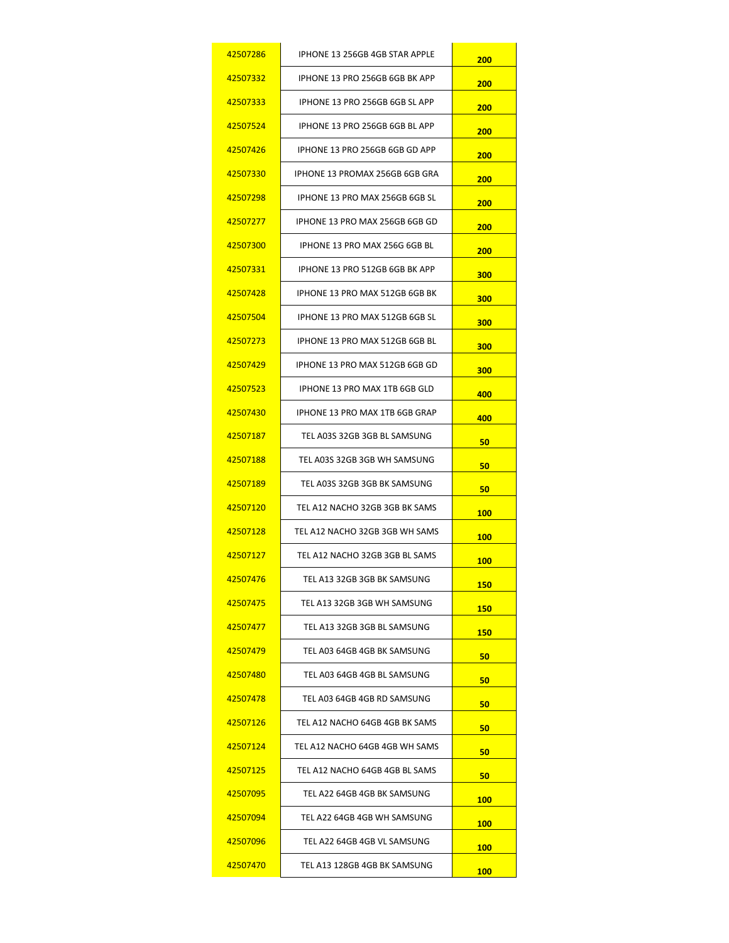| 42507286 | IPHONE 13 256GB 4GB STAR APPLE | 200         |
|----------|--------------------------------|-------------|
| 42507332 | IPHONE 13 PRO 256GB 6GB BK APP | 200         |
| 42507333 | IPHONE 13 PRO 256GB 6GB SL APP | 200         |
| 42507524 | IPHONE 13 PRO 256GB 6GB BL APP | 200         |
| 42507426 | IPHONE 13 PRO 256GB 6GB GD APP | 200         |
| 42507330 | IPHONE 13 PROMAX 256GB 6GB GRA | 200         |
| 42507298 | IPHONE 13 PRO MAX 256GB 6GB SL | 200         |
| 42507277 | IPHONE 13 PRO MAX 256GB 6GB GD | 200         |
| 42507300 | IPHONE 13 PRO MAX 256G 6GB BL  | 200         |
| 42507331 | IPHONE 13 PRO 512GB 6GB BK APP | 300         |
| 42507428 | IPHONE 13 PRO MAX 512GB 6GB BK | 300         |
| 42507504 | IPHONE 13 PRO MAX 512GB 6GB SL | 300         |
| 42507273 | IPHONE 13 PRO MAX 512GB 6GB BL | 300         |
| 42507429 | IPHONE 13 PRO MAX 512GB 6GB GD | 300         |
| 42507523 | IPHONE 13 PRO MAX 1TB 6GB GLD  | 400         |
| 42507430 | IPHONE 13 PRO MAX 1TB 6GB GRAP | 400         |
| 42507187 | TEL A03S 32GB 3GB BL SAMSUNG   | 50          |
| 42507188 | TEL A03S 32GB 3GB WH SAMSUNG   | 50          |
| 42507189 | TEL A03S 32GB 3GB BK SAMSUNG   | 50          |
| 42507120 | TEL A12 NACHO 32GB 3GB BK SAMS | <b>100</b>  |
| 42507128 | TEL A12 NACHO 32GB 3GB WH SAMS | 100         |
| 42507127 | TEL A12 NACHO 32GB 3GB BL SAMS | <b>100</b>  |
| 42507476 | TEL A13 32GB 3GB BK SAMSUNG    | <u> 150</u> |
| 42507475 | TEL A13 32GB 3GB WH SAMSUNG    | 150         |
| 42507477 | TEL A13 32GB 3GB BL SAMSUNG    | <b>150</b>  |
| 42507479 | TEL A03 64GB 4GB BK SAMSUNG    | 50          |
| 42507480 | TEL A03 64GB 4GB BL SAMSUNG    | 50          |
| 42507478 | TEL A03 64GB 4GB RD SAMSUNG    | 50          |
| 42507126 | TEL A12 NACHO 64GB 4GB BK SAMS | 50          |
| 42507124 | TEL A12 NACHO 64GB 4GB WH SAMS | 50          |
| 42507125 | TEL A12 NACHO 64GB 4GB BL SAMS | 50          |
| 42507095 | TEL A22 64GB 4GB BK SAMSUNG    | 100         |
| 42507094 | TEL A22 64GB 4GB WH SAMSUNG    | 100         |
| 42507096 | TEL A22 64GB 4GB VL SAMSUNG    | <b>100</b>  |
| 42507470 | TEL A13 128GB 4GB BK SAMSUNG   | 100         |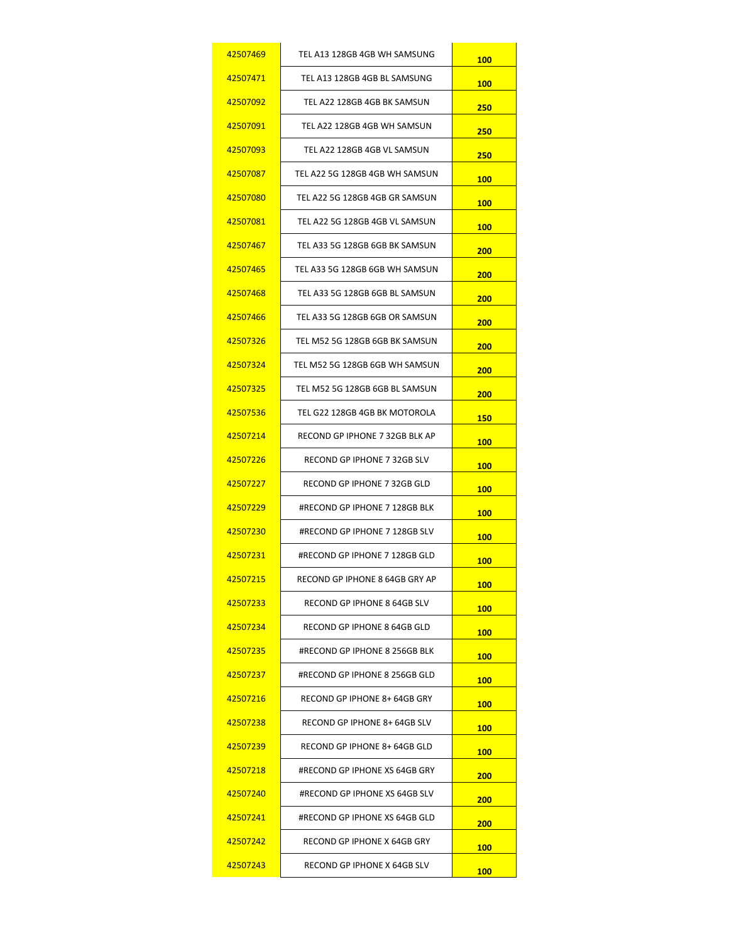| 42507469        | TEL A13 128GB 4GB WH SAMSUNG   | <b>100</b> |
|-----------------|--------------------------------|------------|
| 42507471        | TEL A13 128GB 4GB BL SAMSUNG   | <b>100</b> |
| 42507092        | TEL A22 128GB 4GB BK SAMSUN    | 250        |
| 42507091        | TEL A22 128GB 4GB WH SAMSUN    | 250        |
| 42507093        | TEL A22 128GB 4GB VL SAMSUN    | 250        |
| 42507087        | TEL A22 5G 128GB 4GB WH SAMSUN | 100        |
| 42507080        | TEL A22 5G 128GB 4GB GR SAMSUN | 100        |
| 42507081        | TEL A22 5G 128GB 4GB VL SAMSUN | <b>100</b> |
| 42507467        | TEL A33 5G 128GB 6GB BK SAMSUN | 200        |
| 42507465        | TEL A33 5G 128GB 6GB WH SAMSUN | 200        |
| 42507468        | TEL A33 5G 128GB 6GB BL SAMSUN | 200        |
| 42507466        | TEL A33 5G 128GB 6GB OR SAMSUN | 200        |
| 42507326        | TEL M52 5G 128GB 6GB BK SAMSUN | 200        |
| 42507324        | TEL M52 5G 128GB 6GB WH SAMSUN | 200        |
| 42507325        | TEL M52 5G 128GB 6GB BL SAMSUN | 200        |
| 42507536        | TEL G22 128GB 4GB BK MOTOROLA  | <b>150</b> |
| 42507214        | RECOND GP IPHONE 7 32GB BLK AP | <b>100</b> |
| 42507226        | RECOND GP IPHONE 7 32GB SLV    | 100        |
| 42507227        | RECOND GP IPHONE 7 32GB GLD    | <b>100</b> |
| 42507229        | #RECOND GP IPHONE 7 128GB BLK  | <b>100</b> |
| 42507230        | #RECOND GP IPHONE 7 128GB SLV  | 100        |
| 42507231        | #RECOND GP IPHONE 7 128GB GLD  | <b>100</b> |
| 42507215        | RECOND GP IPHONE 8 64GB GRY AP | <b>100</b> |
| 42507233        | RECOND GP IPHONE 8 64GB SLV    | <b>100</b> |
| 42507234        | RECOND GP IPHONE 8 64GB GLD    | <b>100</b> |
| 42507235        | #RECOND GP IPHONE 8 256GB BLK  | 100        |
| 42507237        | #RECOND GP IPHONE 8 256GB GLD  | <b>100</b> |
| 42507216        | RECOND GP IPHONE 8+ 64GB GRY   | <b>100</b> |
| 42507238        | RECOND GP IPHONE 8+ 64GB SLV   | 100        |
| 42507239        | RECOND GP IPHONE 8+ 64GB GLD   | <b>100</b> |
| 42507218        | #RECOND GP IPHONE XS 64GB GRY  | 200        |
| 42507240        | #RECOND GP IPHONE XS 64GB SLV  | 200        |
| <u>42507241</u> | #RECOND GP IPHONE XS 64GB GLD  | 200        |
| 42507242        | RECOND GP IPHONE X 64GB GRY    | <b>100</b> |
| 42507243        | RECOND GP IPHONE X 64GB SLV    | 100        |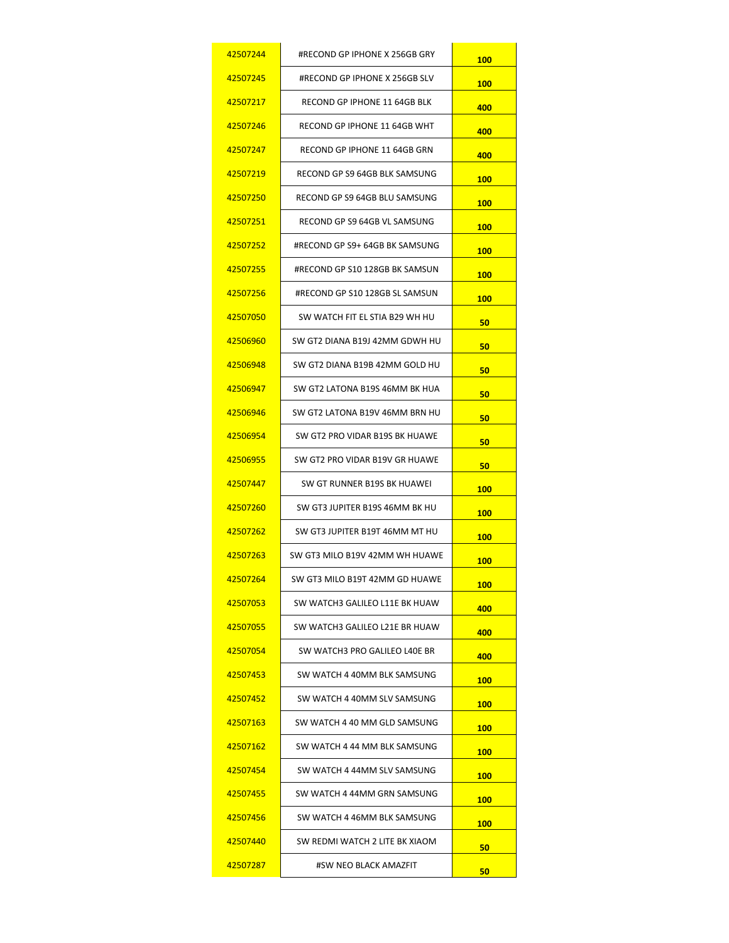| 42507244 | #RECOND GP IPHONE X 256GB GRY  | <b>100</b> |
|----------|--------------------------------|------------|
| 42507245 | #RECOND GP IPHONE X 256GB SLV  | <b>100</b> |
| 42507217 | RECOND GP IPHONE 11 64GB BLK   | 400        |
| 42507246 | RECOND GP IPHONE 11 64GB WHT   | 400        |
| 42507247 | RECOND GP IPHONE 11 64GB GRN   | 400        |
| 42507219 | RECOND GP S9 64GB BLK SAMSUNG  | 100        |
| 42507250 | RECOND GP S9 64GB BLU SAMSUNG  | 100        |
| 42507251 | RECOND GP S9 64GB VL SAMSUNG   | <b>100</b> |
| 42507252 | #RECOND GP S9+ 64GB BK SAMSUNG | 100        |
| 42507255 | #RECOND GP S10 128GB BK SAMSUN | 100        |
| 42507256 | #RECOND GP S10 128GB SL SAMSUN | <b>100</b> |
| 42507050 | SW WATCH FIT EL STIA B29 WH HU | 50         |
| 42506960 | SW GT2 DIANA B19J 42MM GDWH HU | 50         |
| 42506948 | SW GT2 DIANA B19B 42MM GOLD HU | 50         |
| 42506947 | SW GT2 LATONA B19S 46MM BK HUA | 50         |
| 42506946 | SW GT2 LATONA B19V 46MM BRN HU | 50         |
| 42506954 | SW GT2 PRO VIDAR B19S BK HUAWE | 50         |
| 42506955 | SW GT2 PRO VIDAR B19V GR HUAWE | 50         |
| 42507447 | SW GT RUNNER B19S BK HUAWEI    | <b>100</b> |
| 42507260 | SW GT3 JUPITER B19S 46MM BK HU | <b>100</b> |
| 42507262 | SW GT3 JUPITER B19T 46MM MT HU | 100        |
| 42507263 | SW GT3 MILO B19V 42MM WH HUAWE | 100        |
| 42507264 | SW GT3 MILO B19T 42MM GD HUAWE | <b>100</b> |
| 42507053 | SW WATCH3 GALILEO L11E BK HUAW | 400        |
| 42507055 | SW WATCH3 GALILEO L21E BR HUAW | 400        |
| 42507054 | SW WATCH3 PRO GALILEO L40E BR  | 400        |
| 42507453 | SW WATCH 4 40MM BLK SAMSUNG    | <b>100</b> |
| 42507452 | SW WATCH 4 40MM SLV SAMSUNG    | <b>100</b> |
| 42507163 | SW WATCH 4 40 MM GLD SAMSUNG   | <b>100</b> |
| 42507162 | SW WATCH 4 44 MM BLK SAMSUNG   | <b>100</b> |
| 42507454 | SW WATCH 4 44MM SLV SAMSUNG    | <b>100</b> |
| 42507455 | SW WATCH 4 44MM GRN SAMSUNG    | <b>100</b> |
| 42507456 | SW WATCH 4 46MM BLK SAMSUNG    | <b>100</b> |
| 42507440 | SW REDMI WATCH 2 LITE BK XIAOM | 50         |
| 42507287 | #SW NEO BLACK AMAZFIT          | 50         |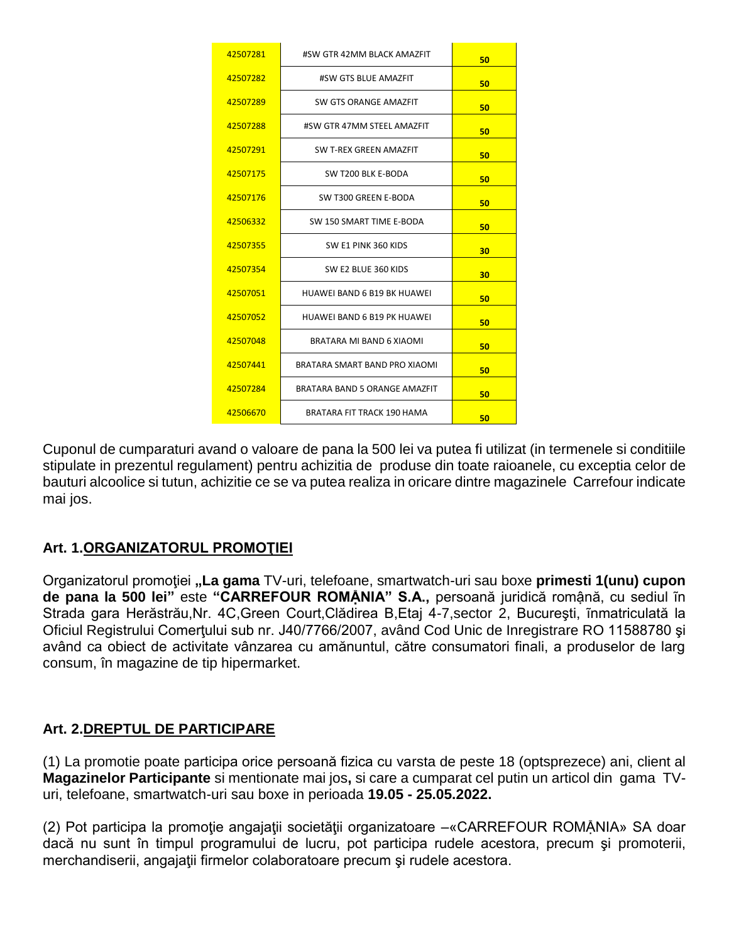| 42507281 | #SW GTR 42MM BLACK AMAZFIT         | 50 |
|----------|------------------------------------|----|
| 42507282 | #SW GTS BLUE AMAZFIT               | 50 |
| 42507289 | SW GTS ORANGE AMAZFIT              | 50 |
| 42507288 | #SW GTR 47MM STEEL AMAZFIT         | 50 |
| 42507291 | SW T-REX GREEN AMAZFIT             | 50 |
| 42507175 | SW T200 BLK E-BODA                 | 50 |
| 42507176 | SW T300 GREEN E-BODA               | 50 |
| 42506332 | SW 150 SMART TIME E-BODA           | 50 |
| 42507355 | SW E1 PINK 360 KIDS                | 30 |
| 42507354 | SW E2 BLUE 360 KIDS                | 30 |
| 42507051 | <b>HUAWEI BAND 6 B19 BK HUAWEI</b> | 50 |
| 42507052 | <b>HUAWEI BAND 6 B19 PK HUAWEI</b> | 50 |
| 42507048 | BRATARA MI BAND 6 XIAOMI           | 50 |
| 42507441 | BRATARA SMART BAND PRO XIAOMI      | 50 |
| 42507284 | BRATARA BAND 5 ORANGE AMAZFIT      | 50 |
| 42506670 | <b>BRATARA FIT TRACK 190 HAMA</b>  | 50 |

Cuponul de cumparaturi avand o valoare de pana la 500 lei va putea fi utilizat (in termenele si conditiile stipulate in prezentul regulament) pentru achizitia de produse din toate raioanele, cu exceptia celor de bauturi alcoolice si tutun, achizitie ce se va putea realiza in oricare dintre magazinele Carrefour indicate mai jos.

### **Art. 1.ORGANIZATORUL PROMOŢIEI**

Organizatorul promoţiei **"La gama** TV-uri, telefoane, smartwatch-uri sau boxe **primesti 1(unu) cupon de pana la 500 lei"** este **"CARREFOUR ROMẬNIA" S.A.,** persoană juridică romậnă, cu sediul ĩn Strada gara Herăstrău,Nr. 4C,Green Court,Clădirea B,Etaj 4-7,sector 2, Bucureşti, ĩnmatriculată la Oficiul Registrului Comerţului sub nr. J40/7766/2007, având Cod Unic de Inregistrare RO 11588780 şi având ca obiect de activitate vânzarea cu amănuntul, către consumatori finali, a produselor de larg consum, în magazine de tip hipermarket.

### **Art. 2.DREPTUL DE PARTICIPARE**

(1) La promotie poate participa orice persoană fizica cu varsta de peste 18 (optsprezece) ani, client al **Magazinelor Participante** si mentionate mai jos**,** si care a cumparat cel putin un articol din gama TVuri, telefoane, smartwatch-uri sau boxe in perioada **19.05 - 25.05.2022.**

(2) Pot participa la promoţie angajaţii societăţii organizatoare –«CARREFOUR ROMẬNIA» SA doar dacă nu sunt în timpul programului de lucru, pot participa rudele acestora, precum şi promoterii, merchandiserii, angajaţii firmelor colaboratoare precum şi rudele acestora.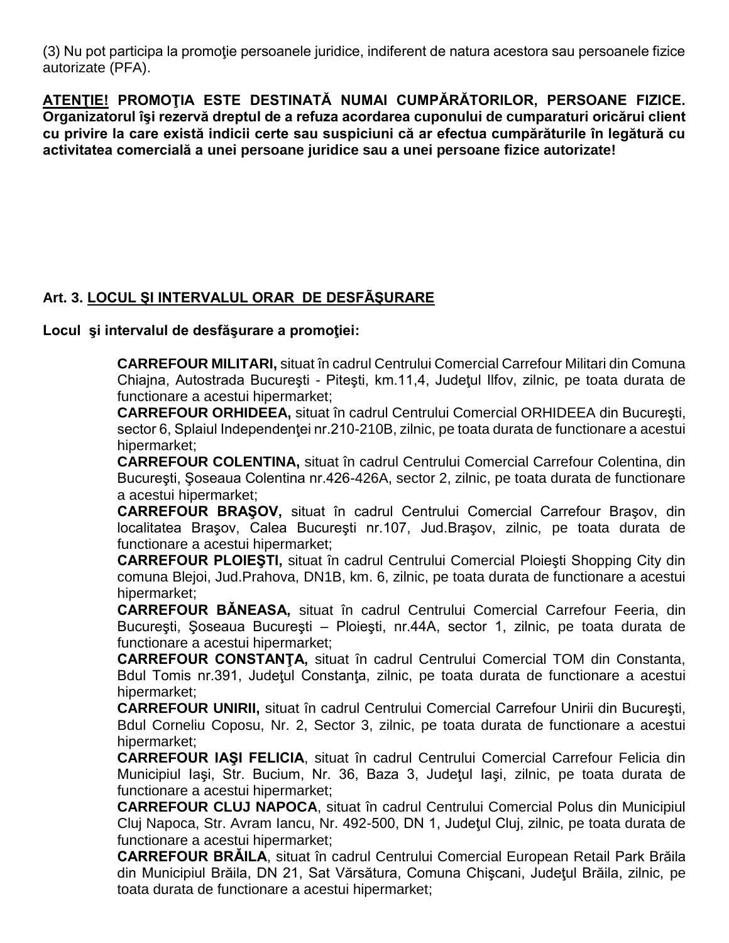(3) Nu pot participa la promoţie persoanele juridice, indiferent de natura acestora sau persoanele fizice autorizate (PFA).

**ATENŢIE! PROMOŢIA ESTE DESTINATĂ NUMAI CUMPĂRĂTORILOR, PERSOANE FIZICE. Organizatorul îşi rezervă dreptul de a refuza acordarea cuponului de cumparaturi oricărui client cu privire la care există indicii certe sau suspiciuni că ar efectua cumpărăturile în legătură cu activitatea comercială a unei persoane juridice sau a unei persoane fizice autorizate!**

## **Art. 3. LOCUL ŞI INTERVALUL ORAR DE DESFÃŞURARE**

**Locul şi intervalul de desfăşurare a promoţiei:**

**CARREFOUR MILITARI,** situat în cadrul Centrului Comercial Carrefour Militari din Comuna Chiajna, Autostrada Bucureşti - Piteşti, km.11,4, Judeţul Ilfov, zilnic, pe toata durata de functionare a acestui hipermarket;

**CARREFOUR ORHIDEEA,** situat în cadrul Centrului Comercial ORHIDEEA din Bucureşti, sector 6, Splaiul Independenței nr.210-210B, zilnic, pe toata durata de functionare a acestui hipermarket;

**CARREFOUR COLENTINA,** situat în cadrul Centrului Comercial Carrefour Colentina, din Bucureşti, Şoseaua Colentina nr.426-426A, sector 2, zilnic, pe toata durata de functionare a acestui hipermarket;

**CARREFOUR BRAŞOV,** situat în cadrul Centrului Comercial Carrefour Braşov, din localitatea Braşov, Calea Bucureşti nr.107, Jud.Braşov, zilnic, pe toata durata de functionare a acestui hipermarket;

**CARREFOUR PLOIEŞTI,** situat în cadrul Centrului Comercial Ploieşti Shopping City din comuna Blejoi, Jud.Prahova, DN1B, km. 6, zilnic, pe toata durata de functionare a acestui hipermarket;

**CARREFOUR BǍNEASA,** situat în cadrul Centrului Comercial Carrefour Feeria, din Bucureşti, Şoseaua Bucureşti – Ploieşti, nr.44A, sector 1, zilnic, pe toata durata de functionare a acestui hipermarket;

**CARREFOUR CONSTANŢA,** situat în cadrul Centrului Comercial TOM din Constanta, Bdul Tomis nr.391, Județul Constanța, zilnic, pe toata durata de functionare a acestui hipermarket;

**CARREFOUR UNIRII,** situat în cadrul Centrului Comercial Carrefour Unirii din Bucureşti, Bdul Corneliu Coposu, Nr. 2, Sector 3, zilnic, pe toata durata de functionare a acestui hipermarket;

**CARREFOUR IAŞI FELICIA**, situat în cadrul Centrului Comercial Carrefour Felicia din Municipiul Iaşi, Str. Bucium, Nr. 36, Baza 3, Judeţul Iaşi, zilnic, pe toata durata de functionare a acestui hipermarket;

**CARREFOUR CLUJ NAPOCA**, situat în cadrul Centrului Comercial Polus din Municipiul Cluj Napoca, Str. Avram Iancu, Nr. 492-500, DN 1, Judeţul Cluj, zilnic, pe toata durata de functionare a acestui hipermarket;

**CARREFOUR BRǍILA**, situat în cadrul Centrului Comercial European Retail Park Brăila din Municipiul Brăila, DN 21, Sat Vărsătura, Comuna Chişcani, Judeţul Brăila, zilnic, pe toata durata de functionare a acestui hipermarket;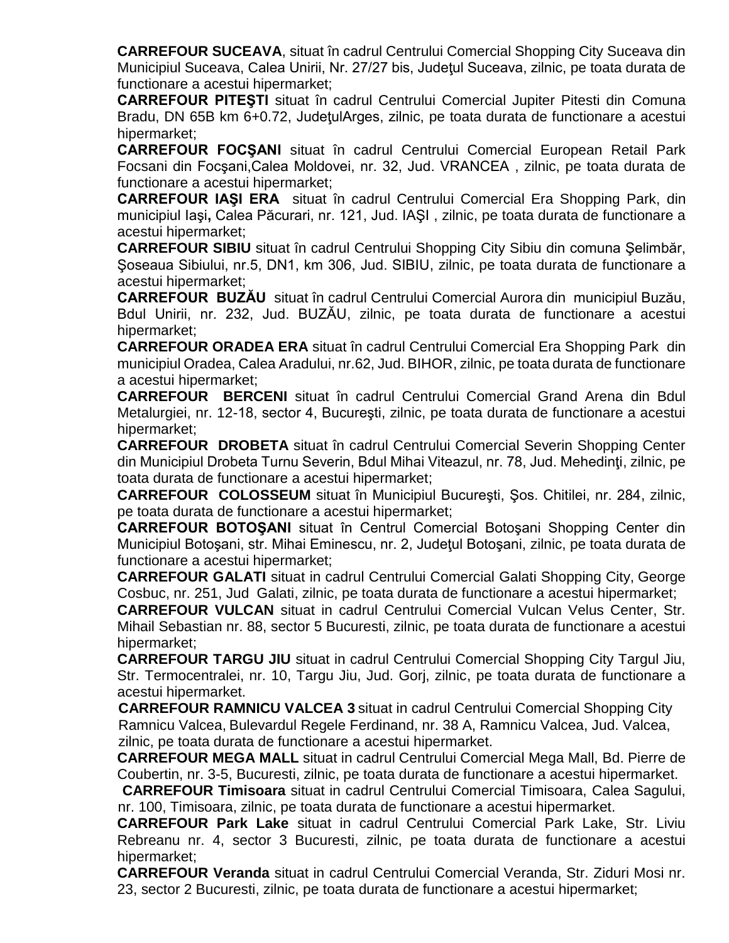**CARREFOUR SUCEAVA**, situat în cadrul Centrului Comercial Shopping City Suceava din Municipiul Suceava, Calea Unirii, Nr. 27/27 bis, Judeţul Suceava, zilnic, pe toata durata de functionare a acestui hipermarket;

**CARREFOUR PITEŞTI** situat în cadrul Centrului Comercial Jupiter Pitesti din Comuna Bradu, DN 65B km 6+0.72, JudeţulArges, zilnic, pe toata durata de functionare a acestui hipermarket;

**CARREFOUR FOCŞANI** situat în cadrul Centrului Comercial European Retail Park Focsani din Focşani,Calea Moldovei, nr. 32, Jud. VRANCEA , zilnic, pe toata durata de functionare a acestui hipermarket;

**CARREFOUR IAŞI ERA** situat în cadrul Centrului Comercial Era Shopping Park, din municipiul Iaşi**,** Calea Păcurari, nr. 121, Jud. IAŞI , zilnic, pe toata durata de functionare a acestui hipermarket;

**CARREFOUR SIBIU** situat în cadrul Centrului Shopping City Sibiu din comuna Şelimbăr, Şoseaua Sibiului, nr.5, DN1, km 306, Jud. SIBIU, zilnic, pe toata durata de functionare a acestui hipermarket;

**CARREFOUR BUZĂU** situat în cadrul Centrului Comercial Aurora din municipiul Buzău, Bdul Unirii, nr. 232, Jud. BUZĂU, zilnic, pe toata durata de functionare a acestui hipermarket;

**CARREFOUR ORADEA ERA** situat în cadrul Centrului Comercial Era Shopping Park din municipiul Oradea, Calea Aradului, nr.62, Jud. BIHOR, zilnic, pe toata durata de functionare a acestui hipermarket;

**CARREFOUR BERCENI** situat în cadrul Centrului Comercial Grand Arena din Bdul Metalurgiei, nr. 12-18, sector 4, Bucureşti, zilnic, pe toata durata de functionare a acestui hipermarket;

**CARREFOUR DROBETA** situat în cadrul Centrului Comercial Severin Shopping Center din Municipiul Drobeta Turnu Severin, Bdul Mihai Viteazul, nr. 78, Jud. Mehedinţi, zilnic, pe toata durata de functionare a acestui hipermarket;

**CARREFOUR COLOSSEUM** situat în Municipiul Bucureşti, Şos. Chitilei, nr. 284, zilnic, pe toata durata de functionare a acestui hipermarket;

**CARREFOUR BOTOŞANI** situat în Centrul Comercial Botoşani Shopping Center din Municipiul Botoşani, str. Mihai Eminescu, nr. 2, Judeţul Botoşani, zilnic, pe toata durata de functionare a acestui hipermarket;

**CARREFOUR GALATI** situat in cadrul Centrului Comercial Galati Shopping City, George Cosbuc, nr. 251, Jud Galati, zilnic, pe toata durata de functionare a acestui hipermarket;

**CARREFOUR VULCAN** situat in cadrul Centrului Comercial Vulcan Velus Center, Str. Mihail Sebastian nr. 88, sector 5 Bucuresti, zilnic, pe toata durata de functionare a acestui hipermarket;

**CARREFOUR TARGU JIU** situat in cadrul Centrului Comercial Shopping City Targul Jiu, Str. Termocentralei, nr. 10, Targu Jiu, Jud. Gorj, zilnic, pe toata durata de functionare a acestui hipermarket.

 **CARREFOUR RAMNICU VALCEA 3** situat in cadrul Centrului Comercial Shopping City Ramnicu Valcea, Bulevardul Regele Ferdinand, nr. 38 A, Ramnicu Valcea, Jud. Valcea, zilnic, pe toata durata de functionare a acestui hipermarket.

**CARREFOUR MEGA MALL** situat in cadrul Centrului Comercial Mega Mall, Bd. Pierre de Coubertin, nr. 3-5, Bucuresti, zilnic, pe toata durata de functionare a acestui hipermarket.

 **CARREFOUR Timisoara** situat in cadrul Centrului Comercial Timisoara, Calea Sagului, nr. 100, Timisoara, zilnic, pe toata durata de functionare a acestui hipermarket.

**CARREFOUR Park Lake** situat in cadrul Centrului Comercial Park Lake, Str. Liviu Rebreanu nr. 4, sector 3 Bucuresti, zilnic, pe toata durata de functionare a acestui hipermarket;

**CARREFOUR Veranda** situat in cadrul Centrului Comercial Veranda, Str. Ziduri Mosi nr. 23, sector 2 Bucuresti, zilnic, pe toata durata de functionare a acestui hipermarket;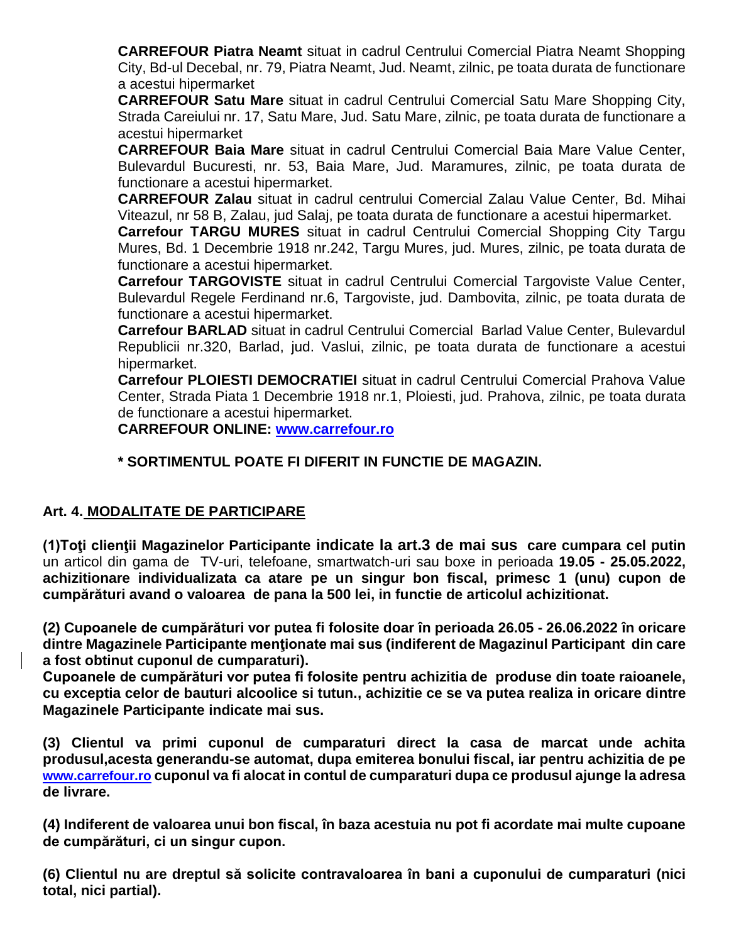**CARREFOUR Piatra Neamt** situat in cadrul Centrului Comercial Piatra Neamt Shopping City, Bd-ul Decebal, nr. 79, Piatra Neamt, Jud. Neamt, zilnic, pe toata durata de functionare a acestui hipermarket

**CARREFOUR Satu Mare** situat in cadrul Centrului Comercial Satu Mare Shopping City, Strada Careiului nr. 17, Satu Mare, Jud. Satu Mare, zilnic, pe toata durata de functionare a acestui hipermarket

**CARREFOUR Baia Mare** situat in cadrul Centrului Comercial Baia Mare Value Center, Bulevardul Bucuresti, nr. 53, Baia Mare, Jud. Maramures, zilnic, pe toata durata de functionare a acestui hipermarket.

**CARREFOUR Zalau** situat in cadrul centrului Comercial Zalau Value Center, Bd. Mihai Viteazul, nr 58 B, Zalau, jud Salaj, pe toata durata de functionare a acestui hipermarket.

**Carrefour TARGU MURES** situat in cadrul Centrului Comercial Shopping City Targu Mures, Bd. 1 Decembrie 1918 nr.242, Targu Mures, jud. Mures, zilnic, pe toata durata de functionare a acestui hipermarket.

**Carrefour TARGOVISTE** situat in cadrul Centrului Comercial Targoviste Value Center, Bulevardul Regele Ferdinand nr.6, Targoviste, jud. Dambovita, zilnic, pe toata durata de functionare a acestui hipermarket.

**Carrefour BARLAD** situat in cadrul Centrului Comercial Barlad Value Center, Bulevardul Republicii nr.320, Barlad, jud. Vaslui, zilnic, pe toata durata de functionare a acestui hipermarket.

**Carrefour PLOIESTI DEMOCRATIEI** situat in cadrul Centrului Comercial Prahova Value Center, Strada Piata 1 Decembrie 1918 nr.1, Ploiesti, jud. Prahova, zilnic, pe toata durata de functionare a acestui hipermarket.

**CARREFOUR ONLINE: [www.carrefour.ro](http://www.carrefour.ro/)**

## **\* SORTIMENTUL POATE FI DIFERIT IN FUNCTIE DE MAGAZIN.**

## **Art. 4. MODALITATE DE PARTICIPARE**

**(1)Toţi clienţii Magazinelor Participante indicate la art.3 de mai sus care cumpara cel putin**  un articol din gama de TV-uri, telefoane, smartwatch-uri sau boxe in perioada **19.05 - 25.05.2022, achizitionare individualizata ca atare pe un singur bon fiscal, primesc 1 (unu) cupon de cumpărături avand o valoarea de pana la 500 lei, in functie de articolul achizitionat.**

**(2) Cupoanele de cumpărături vor putea fi folosite doar în perioada 26.05 - 26.06.2022 în oricare dintre Magazinele Participante menţionate mai sus (indiferent de Magazinul Participant din care a fost obtinut cuponul de cumparaturi).** 

**Cupoanele de cumpărături vor putea fi folosite pentru achizitia de produse din toate raioanele, cu exceptia celor de bauturi alcoolice si tutun., achizitie ce se va putea realiza in oricare dintre Magazinele Participante indicate mai sus.** 

**(3) Clientul va primi cuponul de cumparaturi direct la casa de marcat unde achita produsul,acesta generandu-se automat, dupa emiterea bonului fiscal, iar pentru achizitia de pe www.carrefour.ro cuponul va fi alocat in contul de cumparaturi dupa ce produsul ajunge la adresa de livrare.**

**(4) Indiferent de valoarea unui bon fiscal, în baza acestuia nu pot fi acordate mai multe cupoane de cumpărături, ci un singur cupon.** 

**(6) Clientul nu are dreptul să solicite contravaloarea în bani a cuponului de cumparaturi (nici total, nici partial).**